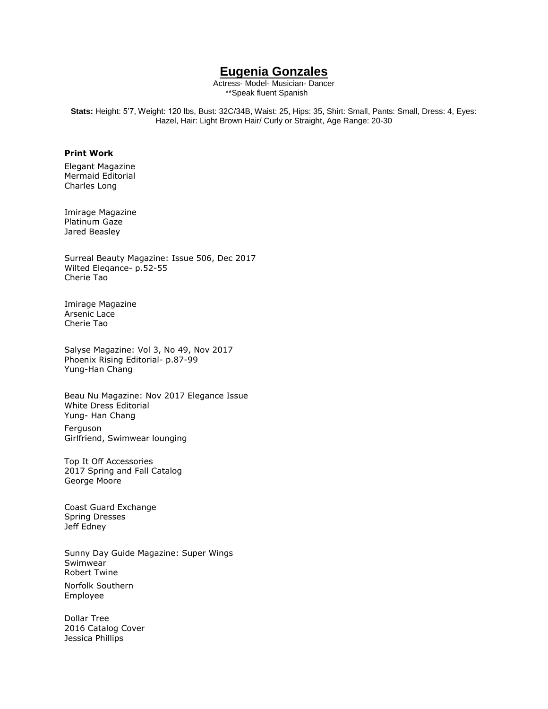# **Eugenia Gonzales**

Actress- Model- Musician- Dancer \*\*Speak fluent Spanish

**Stats:** Height: 5'7, Weight: 120 lbs, Bust: 32C/34B, Waist: 25, Hips: 35, Shirt: Small, Pants: Small, Dress: 4, Eyes: Hazel, Hair: Light Brown Hair/ Curly or Straight, Age Range: 20-30

## **Print Work**

Elegant Magazine Mermaid Editorial Charles Long

Imirage Magazine Platinum Gaze Jared Beasley

Surreal Beauty Magazine: Issue 506, Dec 2017 Wilted Elegance- p.52-55 Cherie Tao

Imirage Magazine Arsenic Lace Cherie Tao

Salyse Magazine: Vol 3, No 49, Nov 2017 Phoenix Rising Editorial- p.87-99 Yung-Han Chang

Beau Nu Magazine: Nov 2017 Elegance Issue White Dress Editorial Yung- Han Chang

Ferguson Girlfriend, Swimwear lounging

Top It Off Accessories 2017 Spring and Fall Catalog George Moore

Coast Guard Exchange Spring Dresses Jeff Edney

Sunny Day Guide Magazine: Super Wings Swimwear Robert Twine

Norfolk Southern Employee

Dollar Tree 2016 Catalog Cover Jessica Phillips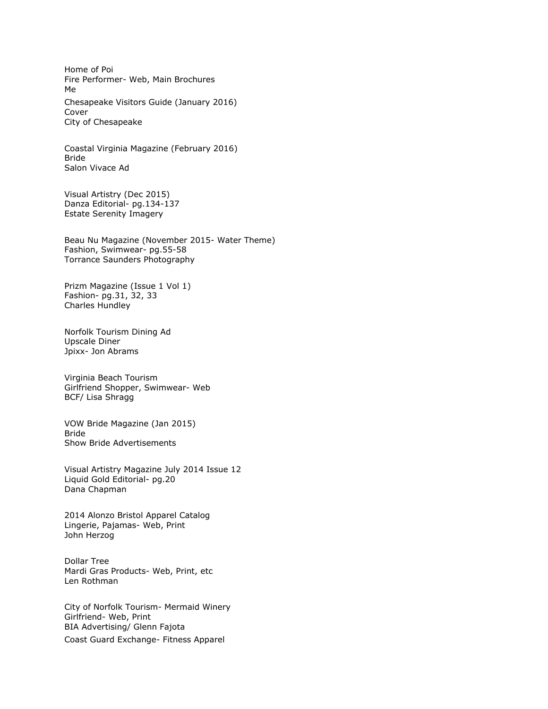Home of Poi Fire Performer- Web, Main Brochures Me Chesapeake Visitors Guide (January 2016) Cover City of Chesapeake

Coastal Virginia Magazine (February 2016) Bride Salon Vivace Ad

Visual Artistry (Dec 2015) Danza Editorial- pg.134-137 Estate Serenity Imagery

Beau Nu Magazine (November 2015- Water Theme) Fashion, Swimwear- pg.55-58 Torrance Saunders Photography

Prizm Magazine (Issue 1 Vol 1) Fashion- pg.31, 32, 33 Charles Hundley

Norfolk Tourism Dining Ad Upscale Diner Jpixx- Jon Abrams

Virginia Beach Tourism Girlfriend Shopper, Swimwear- Web BCF/ Lisa Shragg

VOW Bride Magazine (Jan 2015) Bride Show Bride Advertisements

Visual Artistry Magazine July 2014 Issue 12 Liquid Gold Editorial- pg.20 Dana Chapman

2014 Alonzo Bristol Apparel Catalog Lingerie, Pajamas- Web, Print John Herzog

Dollar Tree Mardi Gras Products- Web, Print, etc Len Rothman

City of Norfolk Tourism- Mermaid Winery Girlfriend- Web, Print BIA Advertising/ Glenn Fajota Coast Guard Exchange- Fitness Apparel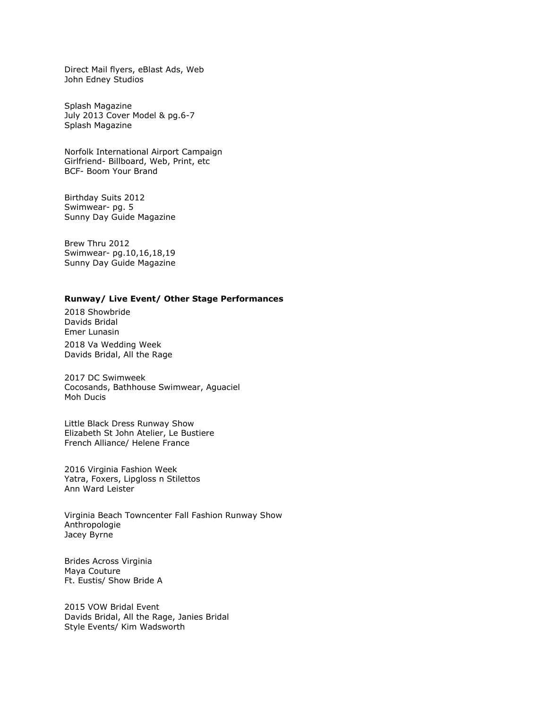Direct Mail flyers, eBlast Ads, Web John Edney Studios

Splash Magazine July 2013 Cover Model & pg.6-7 Splash Magazine

Norfolk International Airport Campaign Girlfriend- Billboard, Web, Print, etc BCF- Boom Your Brand

Birthday Suits 2012 Swimwear- pg. 5 Sunny Day Guide Magazine

Brew Thru 2012 Swimwear- pg.10,16,18,19 Sunny Day Guide Magazine

## **Runway/ Live Event/ Other Stage Performances**

2018 Showbride Davids Bridal Emer Lunasin

2018 Va Wedding Week Davids Bridal, All the Rage

2017 DC Swimweek Cocosands, Bathhouse Swimwear, Aguaciel Moh Ducis

Little Black Dress Runway Show Elizabeth St John Atelier, Le Bustiere French Alliance/ Helene France

2016 Virginia Fashion Week Yatra, Foxers, Lipgloss n Stilettos Ann Ward Leister

Virginia Beach Towncenter Fall Fashion Runway Show Anthropologie Jacey Byrne

Brides Across Virginia Maya Couture Ft. Eustis/ Show Bride A

2015 VOW Bridal Event Davids Bridal, All the Rage, Janies Bridal Style Events/ Kim Wadsworth